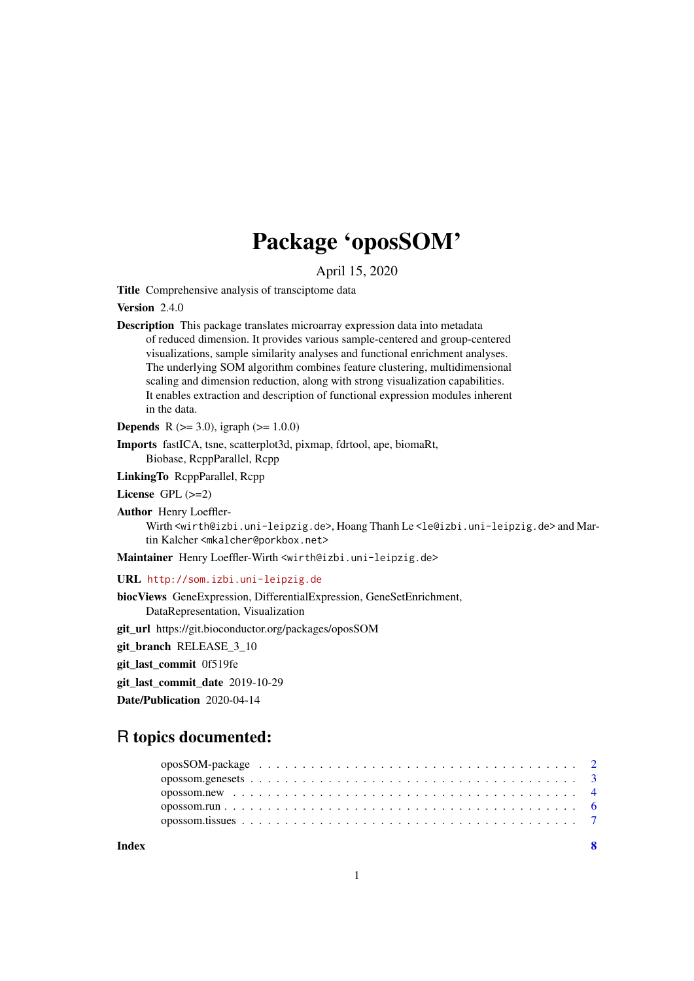# Package 'oposSOM'

April 15, 2020

Title Comprehensive analysis of transciptome data

Version 2.4.0

Description This package translates microarray expression data into metadata of reduced dimension. It provides various sample-centered and group-centered visualizations, sample similarity analyses and functional enrichment analyses. The underlying SOM algorithm combines feature clustering, multidimensional scaling and dimension reduction, along with strong visualization capabilities. It enables extraction and description of functional expression modules inherent in the data.

**Depends** R ( $>= 3.0$ ), igraph ( $>= 1.0.0$ )

Imports fastICA, tsne, scatterplot3d, pixmap, fdrtool, ape, biomaRt, Biobase, RcppParallel, Rcpp

LinkingTo RcppParallel, Rcpp

License GPL (>=2)

Author Henry Loeffler-Wirth <wirth@izbi.uni-leipzig.de>, Hoang Thanh Le <le@izbi.uni-leipzig.de> and Martin Kalcher <mkalcher@porkbox.net>

Maintainer Henry Loeffler-Wirth <wirth@izbi.uni-leipzig.de>

URL <http://som.izbi.uni-leipzig.de>

biocViews GeneExpression, DifferentialExpression, GeneSetEnrichment, DataRepresentation, Visualization

git\_url https://git.bioconductor.org/packages/oposSOM

git\_branch\_RELEASE\_3\_10

git\_last\_commit 0f519fe

git last commit date 2019-10-29

Date/Publication 2020-04-14

### R topics documented: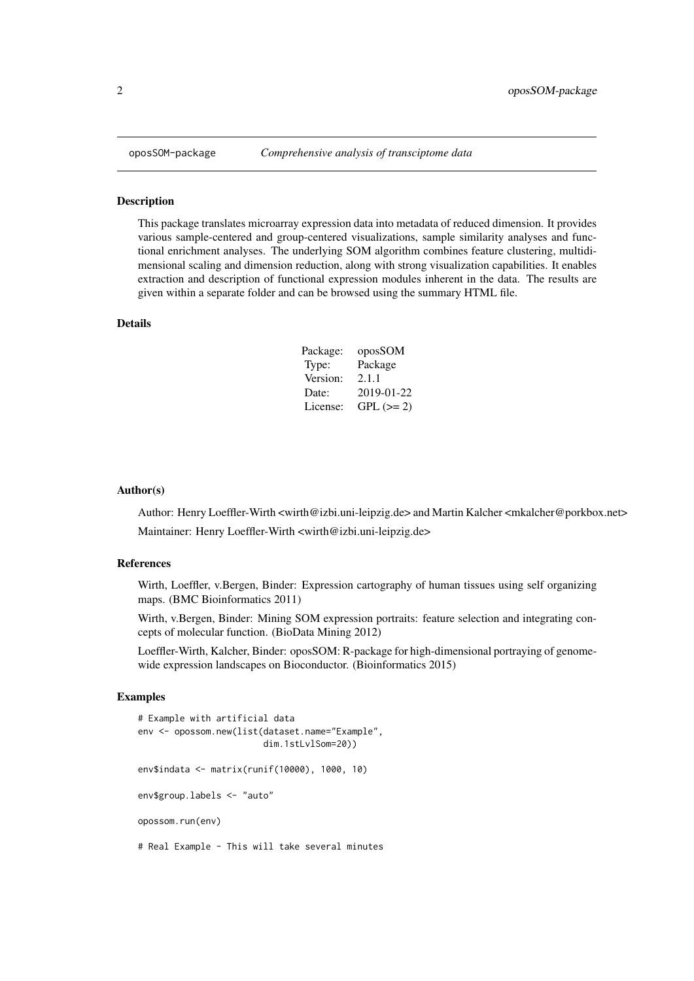#### <span id="page-1-0"></span>Description

This package translates microarray expression data into metadata of reduced dimension. It provides various sample-centered and group-centered visualizations, sample similarity analyses and functional enrichment analyses. The underlying SOM algorithm combines feature clustering, multidimensional scaling and dimension reduction, along with strong visualization capabilities. It enables extraction and description of functional expression modules inherent in the data. The results are given within a separate folder and can be browsed using the summary HTML file.

#### Details

| Package: | oposSOM    |
|----------|------------|
| Type:    | Package    |
| Version: | 2.1.1      |
| Date:    | 2019-01-22 |
| License: | $GPL (=2)$ |

#### Author(s)

Author: Henry Loeffler-Wirth <wirth@izbi.uni-leipzig.de> and Martin Kalcher <mkalcher@porkbox.net> Maintainer: Henry Loeffler-Wirth <wirth@izbi.uni-leipzig.de>

#### References

Wirth, Loeffler, v.Bergen, Binder: Expression cartography of human tissues using self organizing maps. (BMC Bioinformatics 2011)

Wirth, v.Bergen, Binder: Mining SOM expression portraits: feature selection and integrating concepts of molecular function. (BioData Mining 2012)

Loeffler-Wirth, Kalcher, Binder: oposSOM: R-package for high-dimensional portraying of genomewide expression landscapes on Bioconductor. (Bioinformatics 2015)

#### Examples

```
# Example with artificial data
env <- opossom.new(list(dataset.name="Example",
                        dim.1stLvlSom=20))
env$indata <- matrix(runif(10000), 1000, 10)
env$group.labels <- "auto"
opossom.run(env)
# Real Example - This will take several minutes
```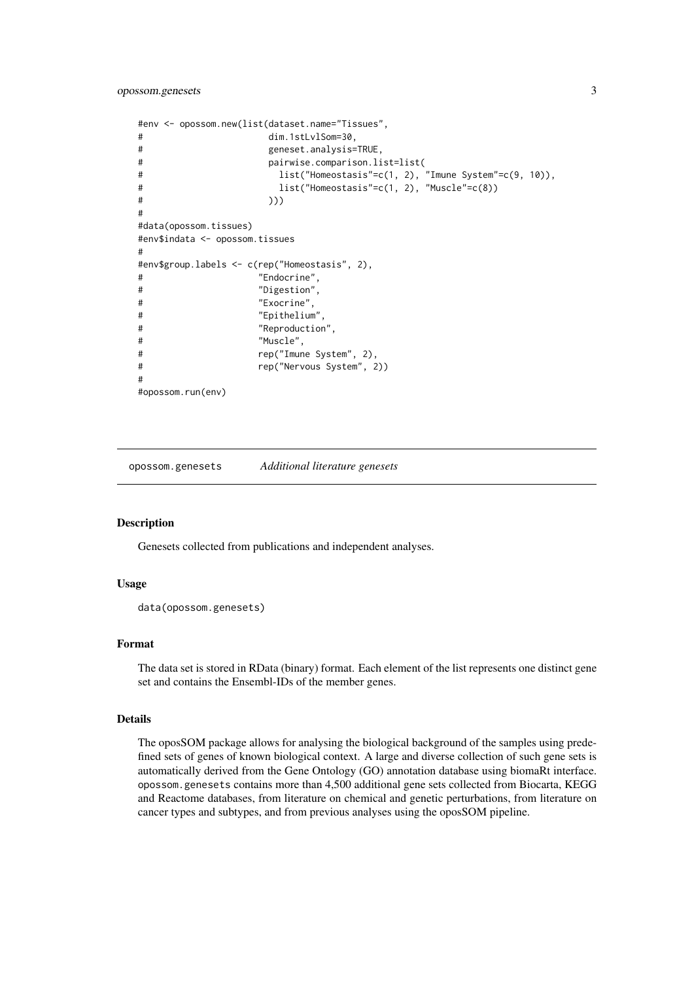```
#env <- opossom.new(list(dataset.name="Tissues",
# dim.1stLvlSom=30,
# geneset.analysis=TRUE,
# pairwise.comparison.list=list(
# list("Homeostasis"=c(1, 2), "Imune System"=c(9, 10)),
# list("Homeostasis"=c(1, 2), "Muscle"=c(8))
# )))
#
#data(opossom.tissues)
#env$indata <- opossom.tissues
#
#env$group.labels <- c(rep("Homeostasis", 2),
# "Endocrine",
# "Digestion",
# "Exocrine",
               "Epithelium",
# "Reproduction",
# "Muscle",
# rep("Imune System", 2),
# rep("Nervous System", 2))
#
#opossom.run(env)
```
opossom.genesets *Additional literature genesets*

#### Description

Genesets collected from publications and independent analyses.

#### Usage

```
data(opossom.genesets)
```
#### Format

The data set is stored in RData (binary) format. Each element of the list represents one distinct gene set and contains the Ensembl-IDs of the member genes.

#### Details

The oposSOM package allows for analysing the biological background of the samples using predefined sets of genes of known biological context. A large and diverse collection of such gene sets is automatically derived from the Gene Ontology (GO) annotation database using biomaRt interface. opossom.genesets contains more than 4,500 additional gene sets collected from Biocarta, KEGG and Reactome databases, from literature on chemical and genetic perturbations, from literature on cancer types and subtypes, and from previous analyses using the oposSOM pipeline.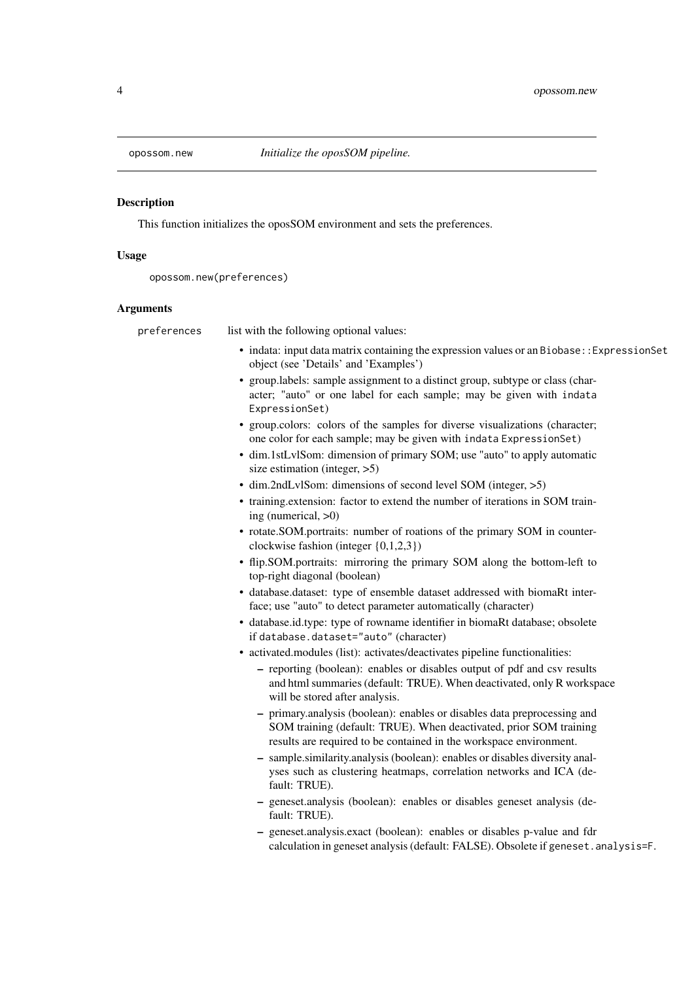<span id="page-3-0"></span>

#### Description

This function initializes the oposSOM environment and sets the preferences.

#### Usage

```
opossom.new(preferences)
```
#### Arguments

| preferences | list with the following optional values:                                                                                                                                                                             |
|-------------|----------------------------------------------------------------------------------------------------------------------------------------------------------------------------------------------------------------------|
|             | • indata: input data matrix containing the expression values or an Biobase:: ExpressionSet<br>object (see 'Details' and 'Examples')                                                                                  |
|             | • group.labels: sample assignment to a distinct group, subtype or class (char-<br>acter; "auto" or one label for each sample; may be given with indata<br>ExpressionSet)                                             |
|             | • group.colors: colors of the samples for diverse visualizations (character;<br>one color for each sample; may be given with indata ExpressionSet)                                                                   |
|             | • dim.1stLvlSom: dimension of primary SOM; use "auto" to apply automatic<br>size estimation (integer, $>5$ )                                                                                                         |
|             | • dim.2ndLvlSom: dimensions of second level SOM (integer, >5)                                                                                                                                                        |
|             | • training extension: factor to extend the number of iterations in SOM train-<br>ing (numerical, $>0$ )                                                                                                              |
|             | • rotate.SOM.portraits: number of roations of the primary SOM in counter-<br>clockwise fashion (integer $\{0,1,2,3\}$ )                                                                                              |
|             | • flip.SOM.portraits: mirroring the primary SOM along the bottom-left to<br>top-right diagonal (boolean)                                                                                                             |
|             | · database.dataset: type of ensemble dataset addressed with biomaRt inter-<br>face; use "auto" to detect parameter automatically (character)                                                                         |
|             | • database.id.type: type of rowname identifier in biomaRt database; obsolete<br>if database.dataset="auto" (character)                                                                                               |
|             | • activated.modules (list): activates/deactivates pipeline functionalities:                                                                                                                                          |
|             | - reporting (boolean): enables or disables output of pdf and csv results<br>and html summaries (default: TRUE). When deactivated, only R workspace<br>will be stored after analysis.                                 |
|             | - primary.analysis (boolean): enables or disables data preprocessing and<br>SOM training (default: TRUE). When deactivated, prior SOM training<br>results are required to be contained in the workspace environment. |
|             | - sample.similarity.analysis (boolean): enables or disables diversity anal-<br>yses such as clustering heatmaps, correlation networks and ICA (de-<br>fault: TRUE).                                                  |
|             | - geneset.analysis (boolean): enables or disables geneset analysis (de-<br>fault: TRUE).                                                                                                                             |
|             | - geneset.analysis.exact (boolean): enables or disables p-value and fdr<br>calculation in geneset analysis (default: FALSE). Obsolete if geneset. analysis=F.                                                        |
|             |                                                                                                                                                                                                                      |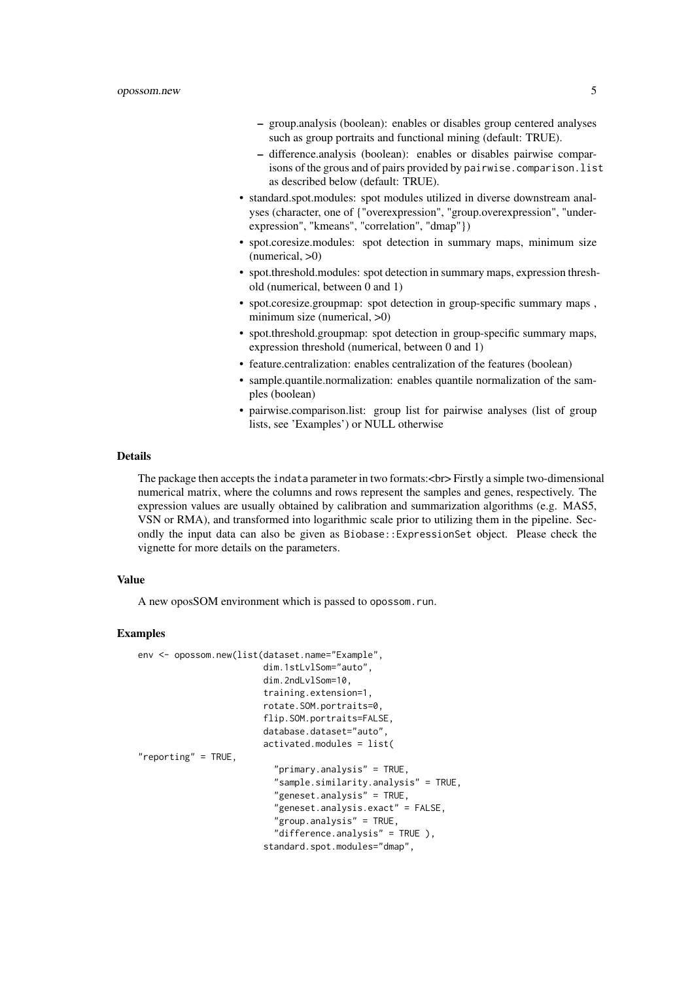- group.analysis (boolean): enables or disables group centered analyses such as group portraits and functional mining (default: TRUE).
- difference.analysis (boolean): enables or disables pairwise comparisons of the grous and of pairs provided by pairwise.comparison.list as described below (default: TRUE).
- standard.spot.modules: spot modules utilized in diverse downstream analyses (character, one of {"overexpression", "group.overexpression", "underexpression", "kmeans", "correlation", "dmap"})
- spot.coresize.modules: spot detection in summary maps, minimum size  $(numerical, >0)$
- spot.threshold.modules: spot detection in summary maps, expression threshold (numerical, between 0 and 1)
- spot.coresize.groupmap: spot detection in group-specific summary maps , minimum size (numerical,  $>0$ )
- spot.threshold.groupmap: spot detection in group-specific summary maps, expression threshold (numerical, between 0 and 1)
- feature.centralization: enables centralization of the features (boolean)
- sample.quantile.normalization: enables quantile normalization of the samples (boolean)
- pairwise.comparison.list: group list for pairwise analyses (list of group lists, see 'Examples') or NULL otherwise

#### Details

The package then accepts the indata parameter in two formats:<br> Firstly a simple two-dimensional numerical matrix, where the columns and rows represent the samples and genes, respectively. The expression values are usually obtained by calibration and summarization algorithms (e.g. MAS5, VSN or RMA), and transformed into logarithmic scale prior to utilizing them in the pipeline. Secondly the input data can also be given as Biobase::ExpressionSet object. Please check the vignette for more details on the parameters.

#### Value

A new oposSOM environment which is passed to opossom.run.

#### Examples

```
env <- opossom.new(list(dataset.name="Example",
                        dim.1stLvlSom="auto",
                        dim.2ndLvlSom=10,
                        training.extension=1,
                        rotate.SOM.portraits=0,
                        flip.SOM.portraits=FALSE,
                        database.dataset="auto",
                        activated.modules = list(
"reporting" = TRUE,
                          "primary.analysis" = TRUE,
                          "sample.similarity.analysis" = TRUE,
                          "geneset.analysis" = TRUE,
                          "geneset.analysis.exact" = FALSE,
                          "group.analysis" = TRUE,
                          "difference.analysis" = TRUE ),
                        standard.spot.modules="dmap",
```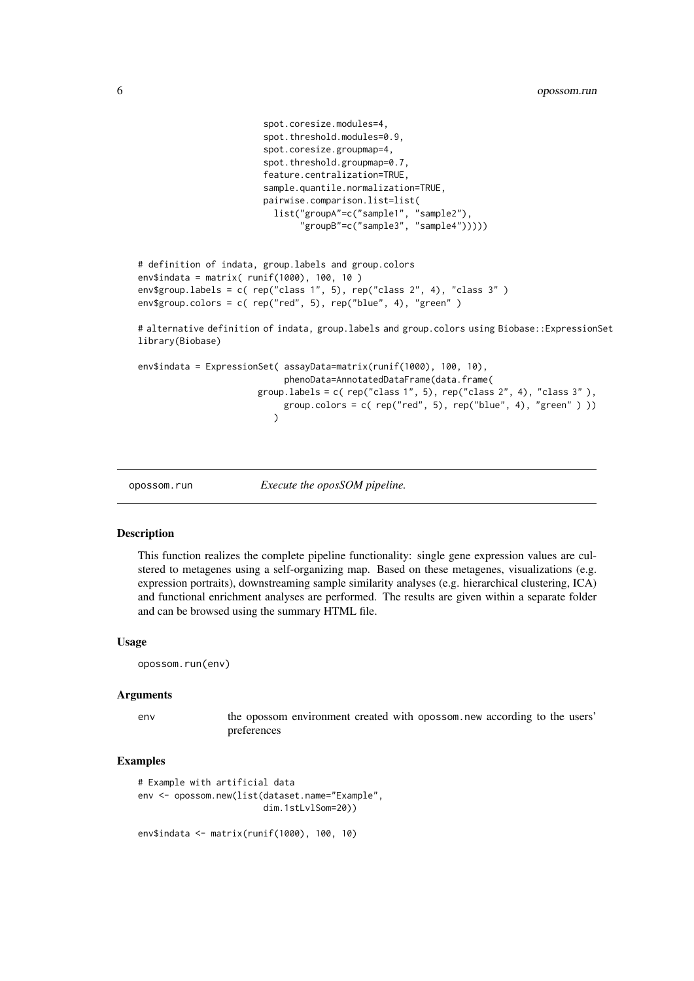```
spot.coresize.modules=4,
                        spot.threshold.modules=0.9,
                        spot.coresize.groupmap=4,
                         spot.threshold.groupmap=0.7,
                        feature.centralization=TRUE,
                        sample.quantile.normalization=TRUE,
                        pairwise.comparison.list=list(
                          list("groupA"=c("sample1", "sample2"),
                                "groupB"=c("sample3", "sample4")))))
# definition of indata, group.labels and group.colors
env$indata = matrix( runif(1000), 100, 10 )
env$group.labels = c( rep("class 1", 5), rep("class 2", 4), "class 3" )
env$group.colors = c( rep("red", 5), rep("blue", 4), "green")
# alternative definition of indata, group.labels and group.colors using Biobase::ExpressionSet
library(Biobase)
env$indata = ExpressionSet( assayData=matrix(runif(1000), 100, 10),
                            phenoData=AnnotatedDataFrame(data.frame(
                        group.labels = c( rep("class 1", 5), rep("class 2", 4), "class 3" ),
                             group.colors = c( rep("red", 5), rep("blue", 4), "green" ) ))
                          \lambda
```
opossom.run *Execute the oposSOM pipeline.*

#### Description

This function realizes the complete pipeline functionality: single gene expression values are culstered to metagenes using a self-organizing map. Based on these metagenes, visualizations (e.g. expression portraits), downstreaming sample similarity analyses (e.g. hierarchical clustering, ICA) and functional enrichment analyses are performed. The results are given within a separate folder and can be browsed using the summary HTML file.

#### Usage

opossom.run(env)

#### Arguments

env the opossom environment created with opossom.new according to the users' preferences

#### Examples

```
# Example with artificial data
env <- opossom.new(list(dataset.name="Example",
                        dim.1stLvlSom=20))
```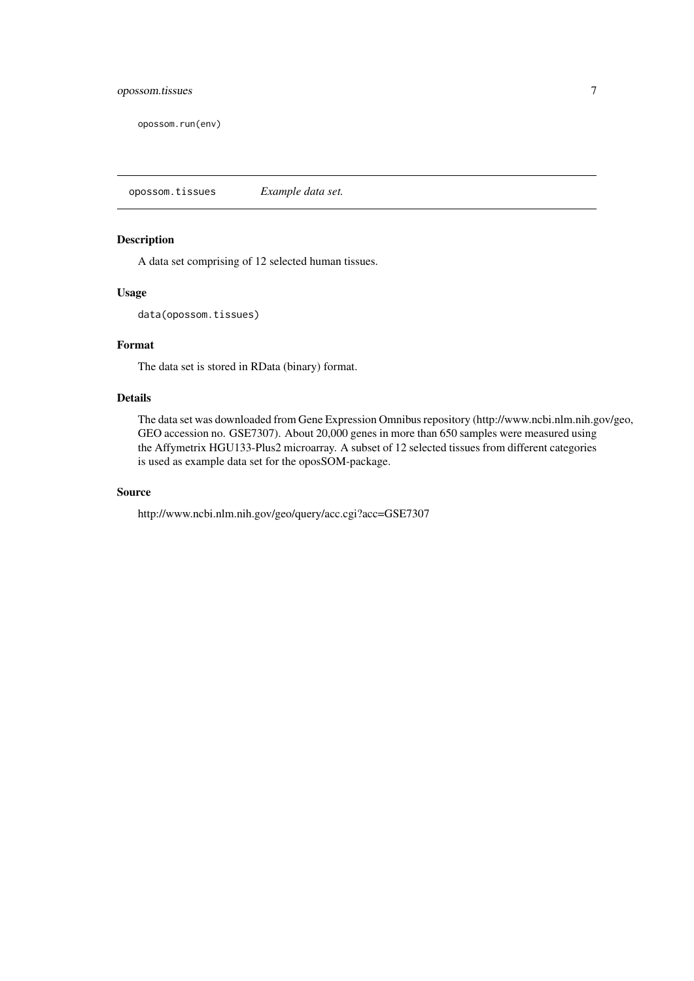<span id="page-6-0"></span>opossom.run(env)

opossom.tissues *Example data set.*

#### Description

A data set comprising of 12 selected human tissues.

#### Usage

data(opossom.tissues)

#### Format

The data set is stored in RData (binary) format.

#### Details

The data set was downloaded from Gene Expression Omnibus repository (http://www.ncbi.nlm.nih.gov/geo, GEO accession no. GSE7307). About 20,000 genes in more than 650 samples were measured using the Affymetrix HGU133-Plus2 microarray. A subset of 12 selected tissues from different categories is used as example data set for the oposSOM-package.

#### Source

http://www.ncbi.nlm.nih.gov/geo/query/acc.cgi?acc=GSE7307